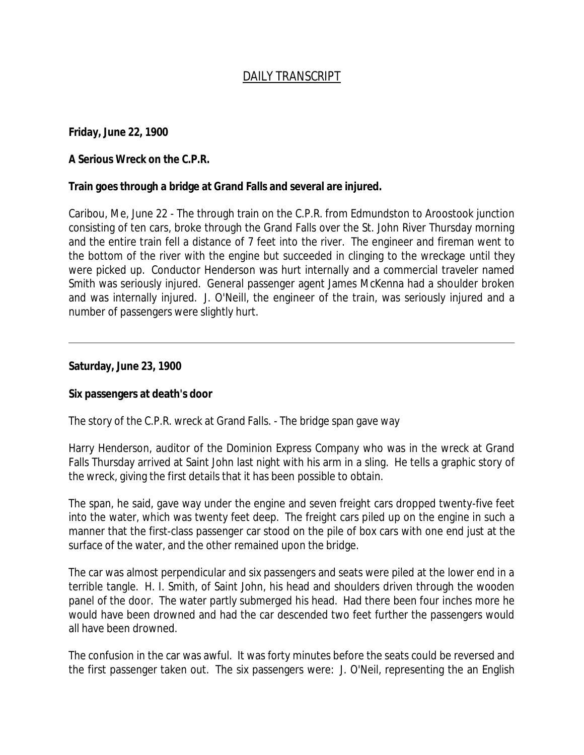# *DAILY TRANSCRIPT*

**Friday, June 22, 1900**

## **A Serious Wreck on the C.P.R.**

### **Train goes through a bridge at Grand Falls and several are injured.**

Caribou, Me, June 22 - The through train on the C.P.R. from Edmundston to Aroostook junction consisting of ten cars, broke through the Grand Falls over the St. John River Thursday morning and the entire train fell a distance of 7 feet into the river. The engineer and fireman went to the bottom of the river with the engine but succeeded in clinging to the wreckage until they were picked up. Conductor Henderson was hurt internally and a commercial traveler named Smith was seriously injured. General passenger agent James McKenna had a shoulder broken and was internally injured. J. O'Neill, the engineer of the train, was seriously injured and a number of passengers were slightly hurt.

### **Saturday, June 23, 1900**

### **Six passengers at death's door**

The story of the C.P.R. wreck at Grand Falls. - The bridge span gave way

Harry Henderson, auditor of the Dominion Express Company who was in the wreck at Grand Falls Thursday arrived at Saint John last night with his arm in a sling. He tells a graphic story of the wreck, giving the first details that it has been possible to obtain.

The span, he said, gave way under the engine and seven freight cars dropped twenty-five feet into the water, which was twenty feet deep. The freight cars piled up on the engine in such a manner that the first-class passenger car stood on the pile of box cars with one end just at the surface of the water, and the other remained upon the bridge.

The car was almost perpendicular and six passengers and seats were piled at the lower end in a terrible tangle. H. I. Smith, of Saint John, his head and shoulders driven through the wooden panel of the door. The water partly submerged his head. Had there been four inches more he would have been drowned and had the car descended two feet further the passengers would all have been drowned.

The confusion in the car was awful. It was forty minutes before the seats could be reversed and the first passenger taken out. The six passengers were: J. O'Neil, representing the an English